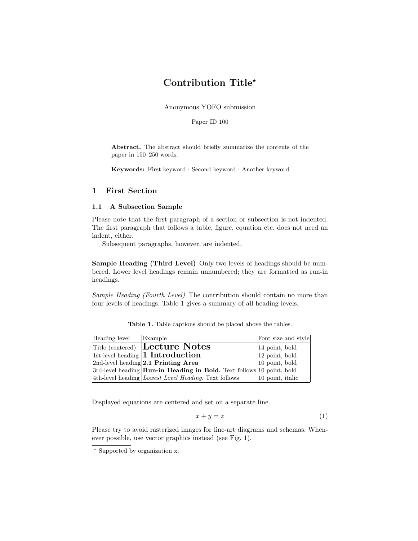## Contribution Title?

Anonymous YOFO submission

Paper ID 100

Abstract. The abstract should briefly summarize the contents of the paper in 150–250 words.

Keywords: First keyword · Second keyword · Another keyword.

## 1 First Section

## 1.1 A Subsection Sample

Please note that the first paragraph of a section or subsection is not indented. The first paragraph that follows a table, figure, equation etc. does not need an indent, either.

Subsequent paragraphs, however, are indented.

Sample Heading (Third Level) Only two levels of headings should be numbered. Lower level headings remain unnumbered; they are formatted as run-in headings.

Sample Heading (Fourth Level) The contribution should contain no more than four levels of headings. Table 1 gives a summary of all heading levels.

|                | <b>Table 1.</b> Table captions should be placed above the tables. |                             |  |
|----------------|-------------------------------------------------------------------|-----------------------------|--|
| cloral Example |                                                                   | $E_{\text{out}}$ aire and a |  |

| Heading level | Example                                                                         | Font size and style   |
|---------------|---------------------------------------------------------------------------------|-----------------------|
|               | <b>Title (centered) Lecture Notes</b>                                           | 14 point, bold        |
|               | $ 1st$ -level heading <b>1 Introduction</b>                                     | $ 12$ point, bold     |
|               | $2nd$ -level heading $2.1$ Printing Area                                        | $ 10\>$ point, bold   |
|               | $3rd$ -level heading <b>Run-in Heading in Bold.</b> Text follows 10 point, bold |                       |
|               | $ 4th$ -level heading <i>Lowest Level Heading</i> . Text follows                | $ 10\>$ point, italic |

Displayed equations are centered and set on a separate line.

$$
x + y = z \tag{1}
$$

Please try to avoid rasterized images for line-art diagrams and schemas. Whenever possible, use vector graphics instead (see Fig. 1).

<sup>?</sup> Supported by organization x.